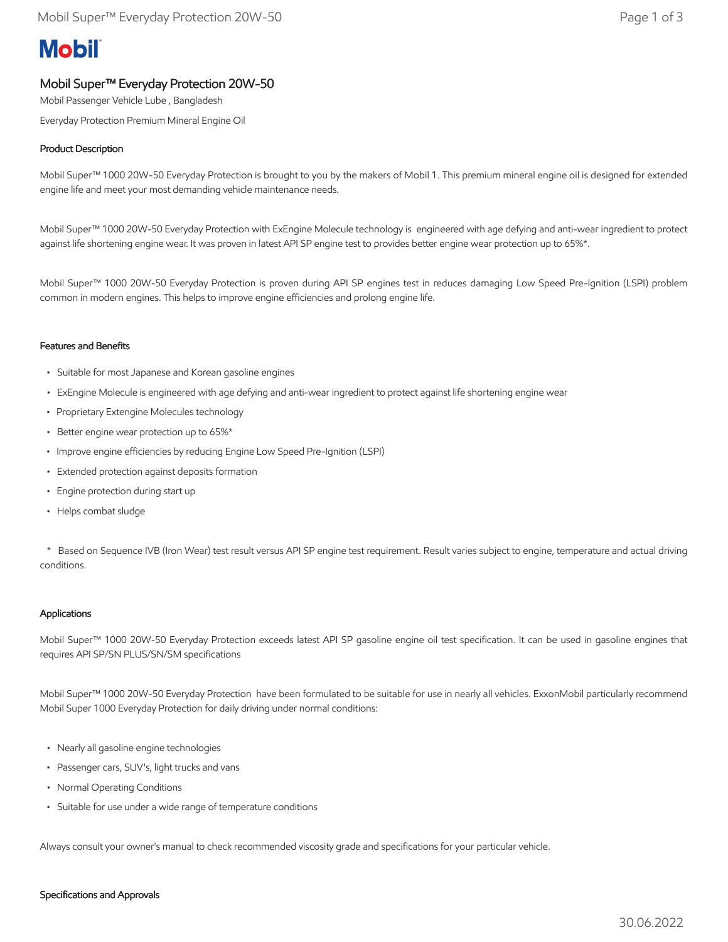# **Mobil**

## Mobil Super™ Everyday Protection 20W-50

Mobil Passenger Vehicle Lube , Bangladesh

Everyday Protection Premium Mineral Engine Oil

### Product Description

Mobil Super™ 1000 20W-50 Everyday Protection is brought to you by the makers of Mobil 1. This premium mineral engine oil is designed for extended engine life and meet your most demanding vehicle maintenance needs.

Mobil Super™ 1000 20W-50 Everyday Protection with ExEngine Molecule technology is engineered with age defying and anti-wear ingredient to protect against life shortening engine wear. It was proven in latest API SP engine test to provides better engine wear protection up to 65%\*.

Mobil Super™ 1000 20W-50 Everyday Protection is proven during API SP engines test in reduces damaging Low Speed Pre-Ignition (LSPI) problem common in modern engines. This helps to improve engine efficiencies and prolong engine life.

#### Features and Benefits

- Suitable for most Japanese and Korean gasoline engines
- ExEngine Molecule is engineered with age defying and anti-wear ingredient to protect against life shortening engine wear
- Proprietary Extengine Molecules technology
- Better engine wear protection up to 65%\*
- Improve engine efficiencies by reducing Engine Low Speed Pre-Ignition (LSPI)
- Extended protection against deposits formation
- Engine protection during start up
- Helps combat sludge

 \* Based on Sequence IVB (Iron Wear) test result versus API SP engine test requirement. Result varies subject to engine, temperature and actual driving conditions.

#### Applications

Mobil Super™ 1000 20W-50 Everyday Protection exceeds latest API SP gasoline engine oil test specification. It can be used in gasoline engines that requires API SP/SN PLUS/SN/SM specifications

Mobil Super™ 1000 20W-50 Everyday Protection have been formulated to be suitable for use in nearly all vehicles. ExxonMobil particularly recommend Mobil Super 1000 Everyday Protection for daily driving under normal conditions:

- Nearly all gasoline engine technologies
- Passenger cars, SUV's, light trucks and vans
- Normal Operating Conditions
- Suitable for use under a wide range of temperature conditions

Always consult your owner's manual to check recommended viscosity grade and specifications for your particular vehicle.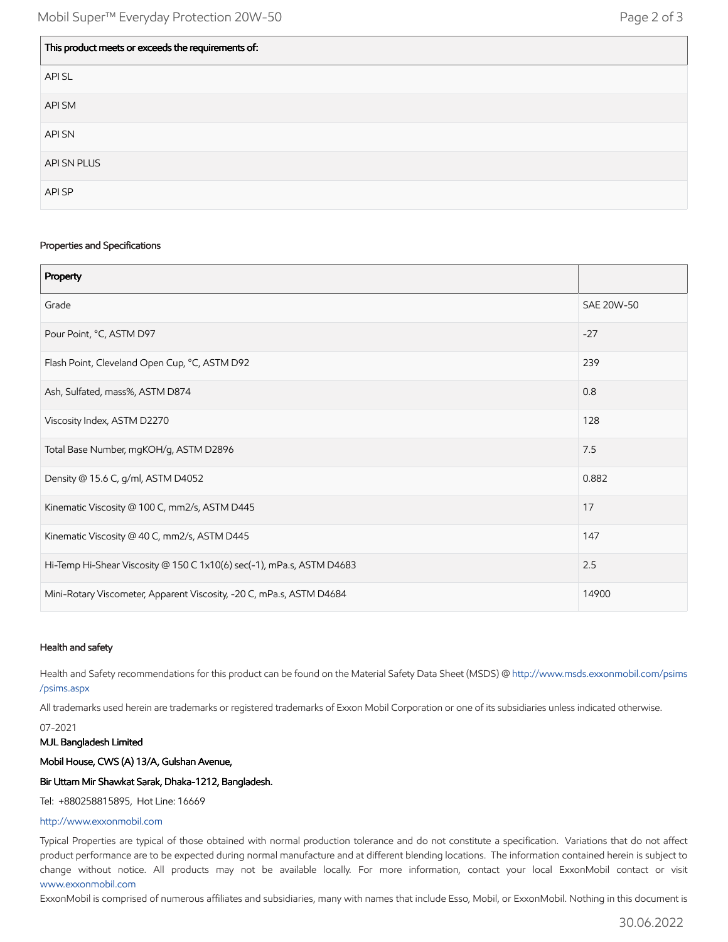| This product meets or exceeds the requirements of: |
|----------------------------------------------------|
| API SL                                             |
| API SM                                             |
| API SN                                             |
| API SN PLUS                                        |
| API SP                                             |

#### Properties and Specifications

| Property                                                              |            |
|-----------------------------------------------------------------------|------------|
| Grade                                                                 | SAE 20W-50 |
| Pour Point, °C, ASTM D97                                              | $-27$      |
| Flash Point, Cleveland Open Cup, °C, ASTM D92                         | 239        |
| Ash, Sulfated, mass%, ASTM D874                                       | 0.8        |
| Viscosity Index, ASTM D2270                                           | 128        |
| Total Base Number, mgKOH/g, ASTM D2896                                | 7.5        |
| Density @ 15.6 C, g/ml, ASTM D4052                                    | 0.882      |
| Kinematic Viscosity @ 100 C, mm2/s, ASTM D445                         | 17         |
| Kinematic Viscosity @ 40 C, mm2/s, ASTM D445                          | 147        |
| Hi-Temp Hi-Shear Viscosity @ 150 C 1x10(6) sec(-1), mPa.s, ASTM D4683 | 2.5        |
| Mini-Rotary Viscometer, Apparent Viscosity, -20 C, mPa.s, ASTM D4684  | 14900      |

#### Health and safety

Health and Safety recommendations for this product can be found on the Material Safety Data Sheet (MSDS) @ [http://www.msds.exxonmobil.com/psims](http://www.msds.exxonmobil.com/psims/psims.aspx) /psims.aspx

All trademarks used herein are trademarks or registered trademarks of Exxon Mobil Corporation or one of its subsidiaries unless indicated otherwise.

07-2021

#### MJL Bangladesh Limited

Mobil House, CWS (A) 13/A, Gulshan Avenue,

#### Bir Uttam Mir Shawkat Sarak, Dhaka-1212, Bangladesh.

Tel: +880258815895, Hot Line: 16669

#### [http://www.exxonmobil.com](http://www.exxonmobil.com/)

Typical Properties are typical of those obtained with normal production tolerance and do not constitute a specification. Variations that do not affect product performance are to be expected during normal manufacture and at different blending locations. The information contained herein is subject to change without notice. All products may not be available locally. For more information, contact your local ExxonMobil contact or visit [www.exxonmobil.com](http://www.exxonmobil.com/)

ExxonMobil is comprised of numerous affiliates and subsidiaries, many with names that include Esso, Mobil, or ExxonMobil. Nothing in this document is